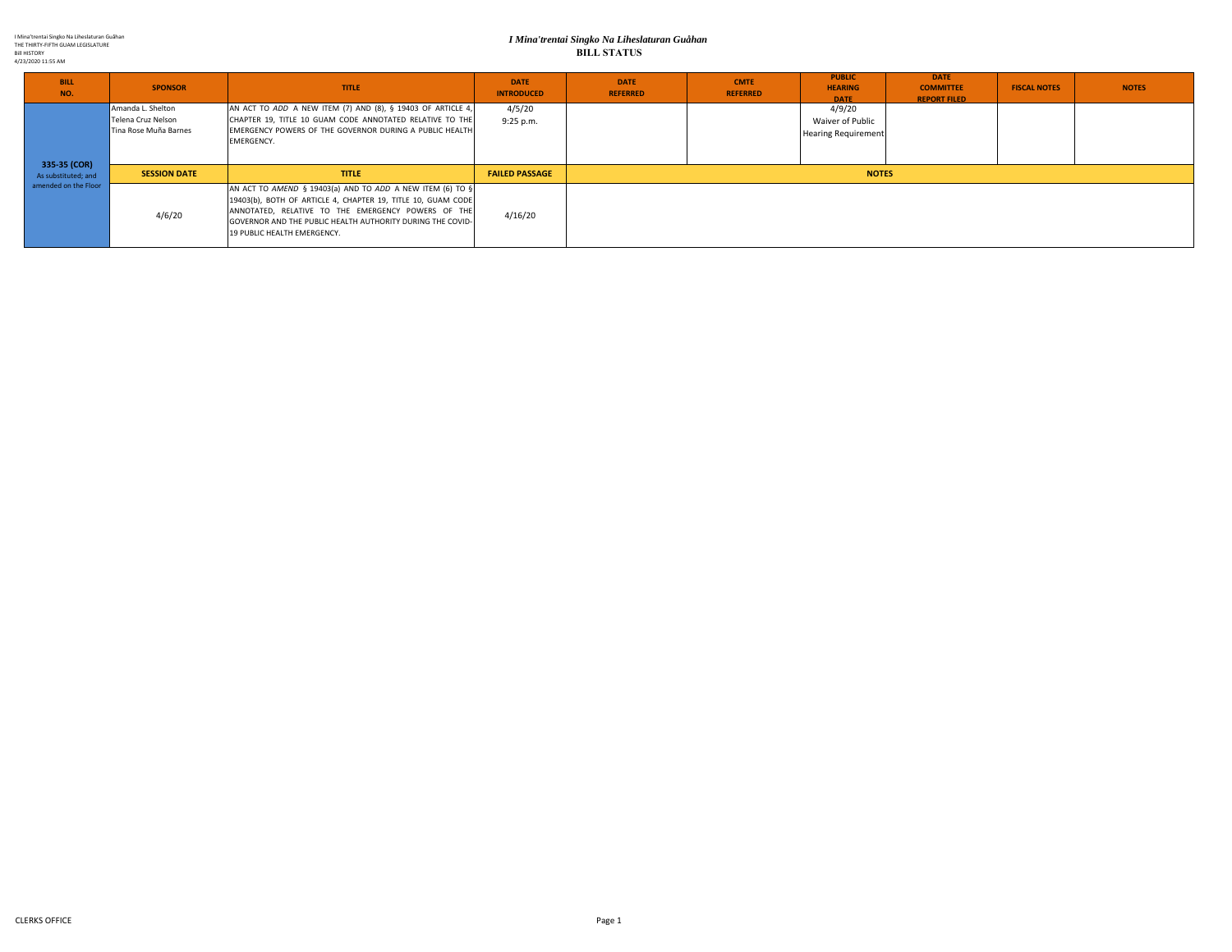I Mina'trentai Singko Na Liheslaturan Guåhan THE THIRTY‐FIFTH GUAM LEGISLATURE Bill HISTORY 4/23/2020 11:55 AM

#### *I Mina'trentai Singko Na Liheslaturan Guåhan* **BILL STATUS**

| <b>BILL</b><br>NO.                                          | <b>SPONSOR</b>                                                   | <b>TITLE</b>                                                                                                                                                                                                                                                                 | <b>DATE</b><br><b>INTRODUCED</b> | <b>DATE</b><br><b>REFERRED</b> | <b>CMTE</b><br><b>REFERRED</b> | <b>PUBLIC</b><br><b>HEARING</b><br><b>DATE</b>           | <b>DATE</b><br><b>COMMITTEE</b><br><b>REPORT FILED</b> | <b>FISCAL NOTES</b> | <b>NOTES</b> |  |
|-------------------------------------------------------------|------------------------------------------------------------------|------------------------------------------------------------------------------------------------------------------------------------------------------------------------------------------------------------------------------------------------------------------------------|----------------------------------|--------------------------------|--------------------------------|----------------------------------------------------------|--------------------------------------------------------|---------------------|--------------|--|
| 335-35 (COR)<br>As substituted; and<br>amended on the Floor | Amanda L. Shelton<br>Telena Cruz Nelson<br>Tina Rose Muña Barnes | AN ACT TO ADD A NEW ITEM (7) AND (8), § 19403 OF ARTICLE 4,<br>CHAPTER 19, TITLE 10 GUAM CODE ANNOTATED RELATIVE TO THE<br>EMERGENCY POWERS OF THE GOVERNOR DURING A PUBLIC HEALTH<br><b>EMERGENCY.</b>                                                                      | 4/5/20<br>$9:25$ p.m.            |                                |                                | 4/9/20<br>Waiver of Public<br><b>Hearing Requirement</b> |                                                        |                     |              |  |
|                                                             | <b>SESSION DATE</b>                                              | <b>TITLE</b>                                                                                                                                                                                                                                                                 | <b>FAILED PASSAGE</b>            | <b>NOTES</b>                   |                                |                                                          |                                                        |                     |              |  |
|                                                             | 4/6/20                                                           | AN ACT TO AMEND § 19403(a) AND TO ADD A NEW ITEM (6) TO §<br>19403(b), BOTH OF ARTICLE 4, CHAPTER 19, TITLE 10, GUAM CODE<br>ANNOTATED, RELATIVE TO THE EMERGENCY POWERS OF THE<br>GOVERNOR AND THE PUBLIC HEALTH AUTHORITY DURING THE COVID-<br>19 PUBLIC HEALTH EMERGENCY. | 4/16/20                          |                                |                                |                                                          |                                                        |                     |              |  |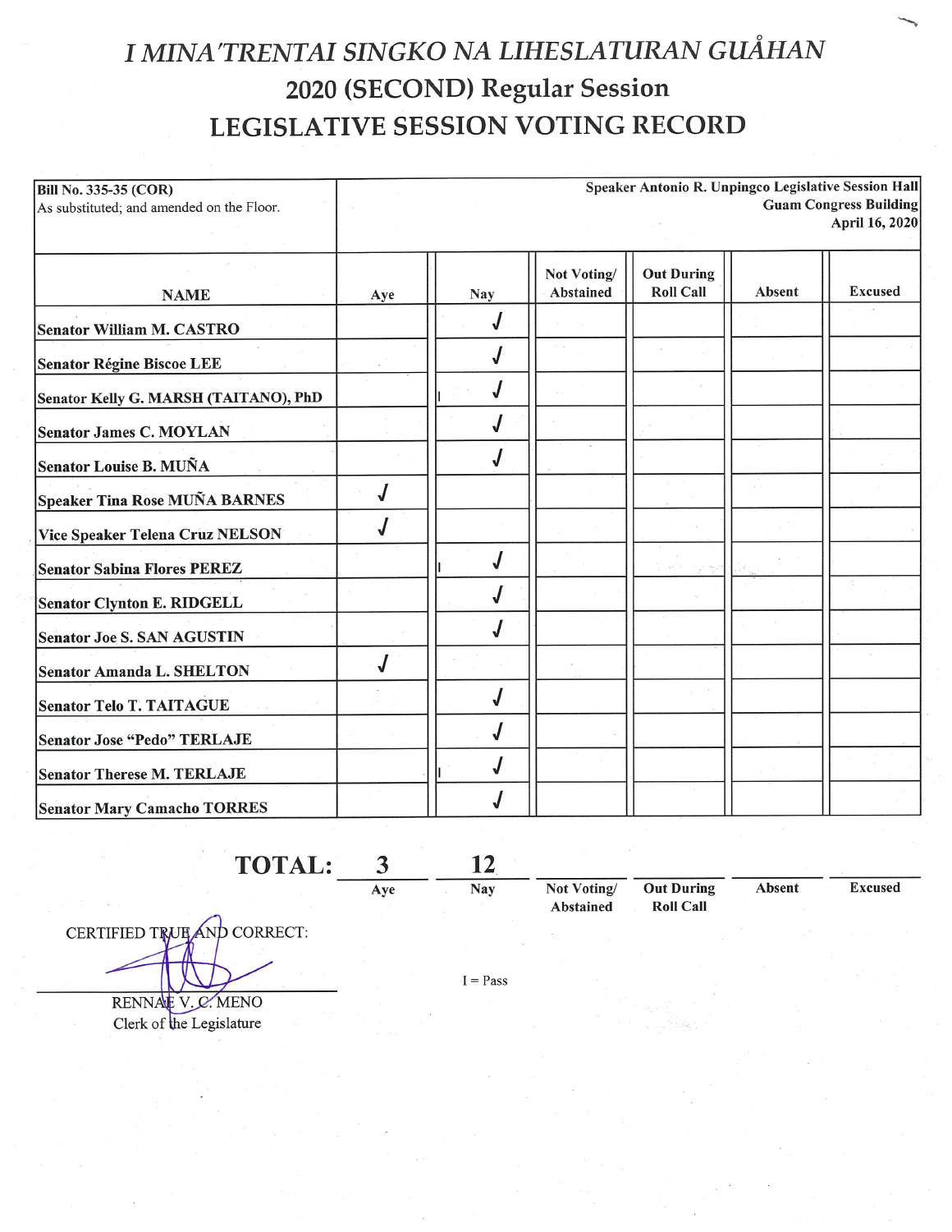# I MINA'TRENTAI SINGKO NA LIHESLATURAN GUÅHAN 2020 (SECOND) Regular Session **LEGISLATIVE SESSION VOTING RECORD**

| <b>Bill No. 335-35 (COR)</b>              | Speaker Antonio R. Unpingco Legislative Session Hall |            |             |                   |        |                               |  |  |  |
|-------------------------------------------|------------------------------------------------------|------------|-------------|-------------------|--------|-------------------------------|--|--|--|
| As substituted; and amended on the Floor. |                                                      |            |             |                   |        | <b>Guam Congress Building</b> |  |  |  |
|                                           |                                                      |            |             |                   |        | April 16, 2020                |  |  |  |
|                                           |                                                      |            | Not Voting/ | <b>Out During</b> |        |                               |  |  |  |
| <b>NAME</b>                               | Aye                                                  | <b>Nay</b> | Abstained   | <b>Roll Call</b>  | Absent | <b>Excused</b>                |  |  |  |
| <b>Senator William M. CASTRO</b>          |                                                      |            |             |                   |        |                               |  |  |  |
| <b>Senator Régine Biscoe LEE</b>          |                                                      |            |             |                   |        |                               |  |  |  |
| Senator Kelly G. MARSH (TAITANO), PhD     |                                                      |            |             |                   |        |                               |  |  |  |
| <b>Senator James C. MOYLAN</b>            |                                                      |            |             |                   |        |                               |  |  |  |
| Senator Louise B. MUÑA                    |                                                      |            |             |                   |        |                               |  |  |  |
| Speaker Tina Rose MUÑA BARNES             |                                                      |            |             |                   |        |                               |  |  |  |
| Vice Speaker Telena Cruz NELSON           |                                                      |            |             |                   |        |                               |  |  |  |
| <b>Senator Sabina Flores PEREZ</b>        |                                                      |            |             |                   |        |                               |  |  |  |
| Senator Clynton E. RIDGELL                |                                                      |            |             |                   |        |                               |  |  |  |
| <b>Senator Joe S. SAN AGUSTIN</b>         |                                                      |            |             |                   |        |                               |  |  |  |
| <b>Senator Amanda L. SHELTON</b>          |                                                      |            |             |                   |        |                               |  |  |  |
| <b>Senator Telo T. TAITAGUE</b>           |                                                      |            |             |                   |        |                               |  |  |  |
| <b>Senator Jose "Pedo" TERLAJE</b>        |                                                      |            |             |                   |        |                               |  |  |  |
| <b>Senator Therese M. TERLAJE</b>         |                                                      |            |             |                   |        |                               |  |  |  |
| <b>Senator Mary Camacho TORRES</b>        |                                                      |            |             |                   |        |                               |  |  |  |

TOTAL: 12  $\mathbf{3}$ Nay

Aye

CERTIFIED TRUE AND CORRECT: RENNAE V.C. MENO

Clerk of the Legislature

Not Voting/ **Out During Roll Call** Abstained

Absent **Excused** 

 $I = Pass$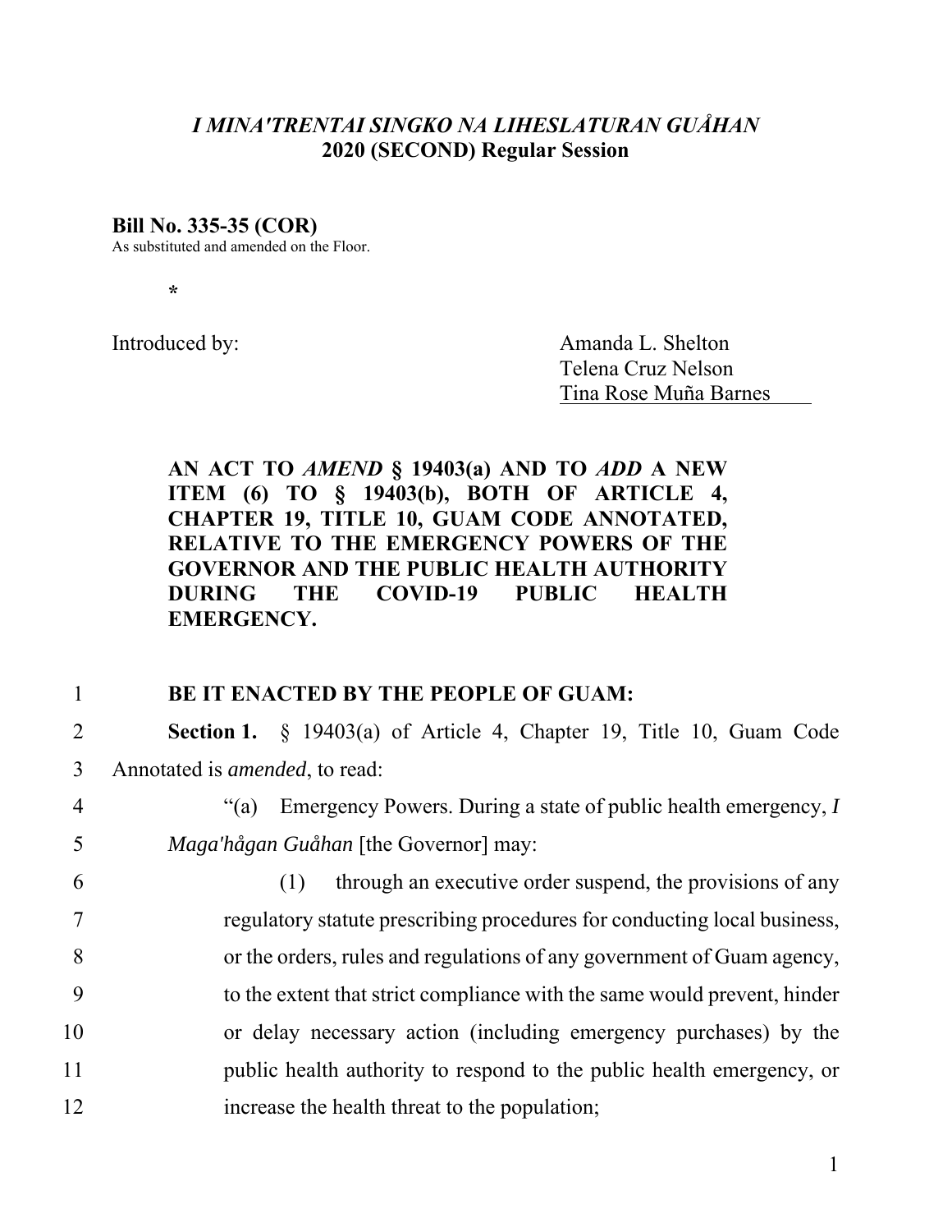# *I MINAʹTRENTAI SINGKO NA LIHESLATURAN GUÅHAN*  **2020 (SECOND) Regular Session**

### **Bill No. 335-35 (COR)**

As substituted and amended on the Floor.

**\*** 

Introduced by: Amanda L. Shelton Telena Cruz Nelson Tina Rose Muña Barnes

**AN ACT TO** *AMEND* **§ 19403(a) AND TO** *ADD* **A NEW ITEM (6) TO § 19403(b), BOTH OF ARTICLE 4, CHAPTER 19, TITLE 10, GUAM CODE ANNOTATED, RELATIVE TO THE EMERGENCY POWERS OF THE GOVERNOR AND THE PUBLIC HEALTH AUTHORITY DURING THE COVID-19 PUBLIC HEALTH EMERGENCY.** 

## 1 **BE IT ENACTED BY THE PEOPLE OF GUAM:**

2 **Section 1.** § 19403(a) of Article 4, Chapter 19, Title 10, Guam Code 3 Annotated is *amended*, to read:

4 "(a) Emergency Powers. During a state of public health emergency, *I*  5 *Maga'hågan Guåhan* [the Governor] may:

6 (1) through an executive order suspend, the provisions of any 7 regulatory statute prescribing procedures for conducting local business, 8 or the orders, rules and regulations of any government of Guam agency, 9 to the extent that strict compliance with the same would prevent, hinder 10 or delay necessary action (including emergency purchases) by the 11 public health authority to respond to the public health emergency, or 12 increase the health threat to the population;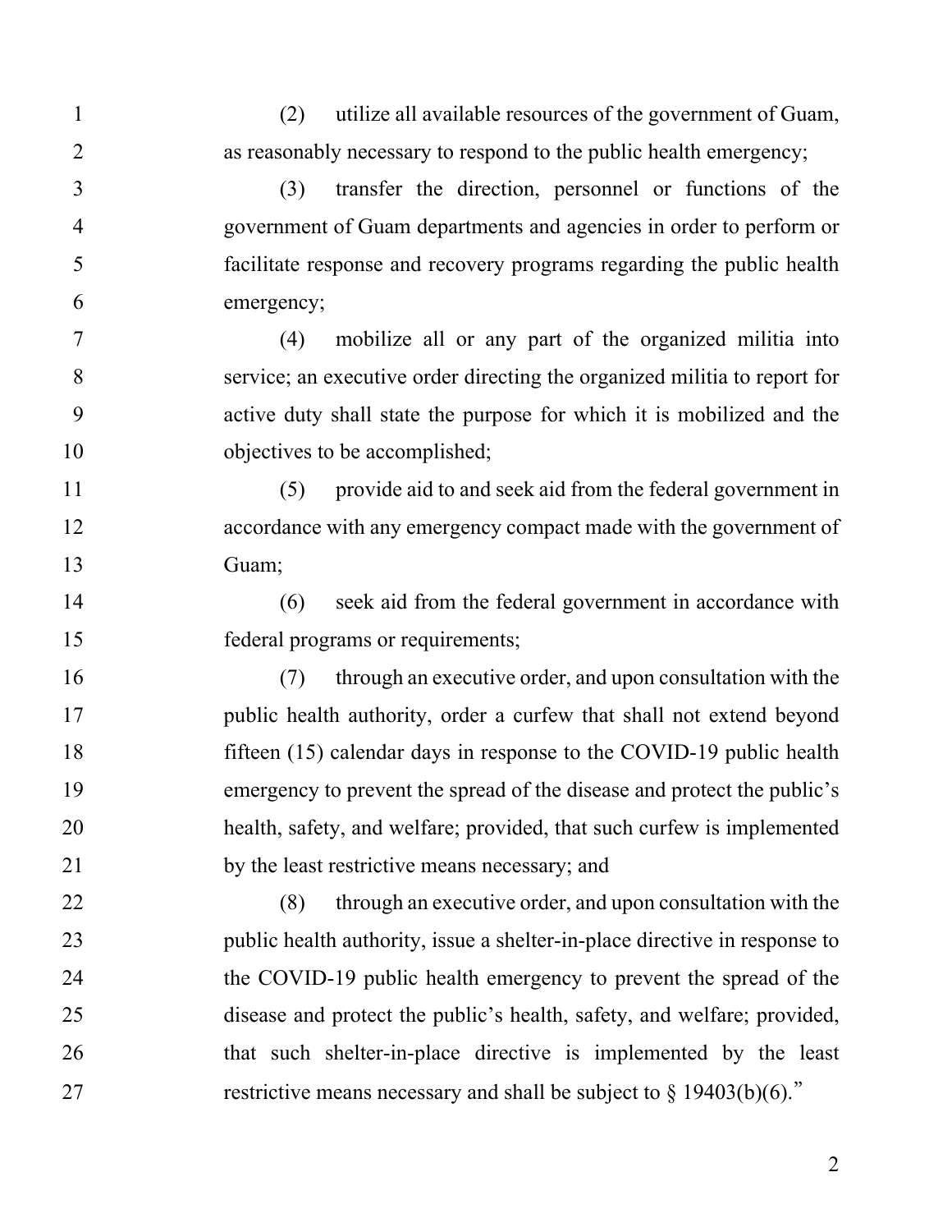1 (2) utilize all available resources of the government of Guam, 2 as reasonably necessary to respond to the public health emergency; 3 (3) transfer the direction, personnel or functions of the 4 government of Guam departments and agencies in order to perform or 5 facilitate response and recovery programs regarding the public health 6 emergency; 7 (4) mobilize all or any part of the organized militia into 8 service; an executive order directing the organized militia to report for 9 active duty shall state the purpose for which it is mobilized and the 10 objectives to be accomplished; 11 (5) provide aid to and seek aid from the federal government in 12 accordance with any emergency compact made with the government of 13 Guam; 14 (6) seek aid from the federal government in accordance with 15 federal programs or requirements; 16 (7) through an executive order, and upon consultation with the 17 public health authority, order a curfew that shall not extend beyond 18 fifteen (15) calendar days in response to the COVID-19 public health 19 emergency to prevent the spread of the disease and protect the public's 20 health, safety, and welfare; provided, that such curfew is implemented 21 by the least restrictive means necessary; and 22 (8) through an executive order, and upon consultation with the 23 public health authority, issue a shelter-in-place directive in response to 24 the COVID-19 public health emergency to prevent the spread of the 25 disease and protect the public's health, safety, and welfare; provided, 26 that such shelter-in-place directive is implemented by the least 27 restrictive means necessary and shall be subject to  $\frac{1}{9}$  19403(b)(6)."

2